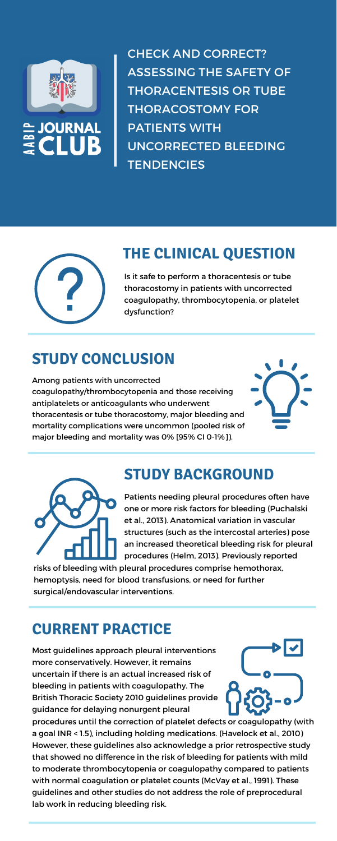



CHECK AND CORRECT? ASSESSING THE SAFETY OF THORACENTESIS OR TUBE THORACOSTOMY FOR PATIENTS WITH UNCORRECTED BLEEDING **TENDENCIES** 



# **THE CLINICAL QUESTION**

Is it safe to perform a thoracentesis or tube thoracostomy in patients with uncorrected coagulopathy, thrombocytopenia, or platelet dysfunction?

# **STUDY CONCLUSION**

Among patients with uncorrected coagulopathy/thrombocytopenia and those receiving antiplatelets or anticoagulants who underwent thoracentesis or tube thoracostomy, major bleeding and mortality complications were uncommon (pooled risk of major bleeding and mortality was 0% [95% CI 0-1%]).





# **STUDY BACKGROUND**

Patients needing pleural procedures often have

one or more risk factors for bleeding (Puchalski et al., 2013). Anatomical variation in vascular structures (such as the intercostal arteries) pose an increased theoretical bleeding risk for pleural procedures (Helm, 2013). Previously reported

risks of bleeding with pleural procedures comprise hemothorax, hemoptysis, need for blood transfusions, or need for further surgical/endovascular interventions.

## **CURRENT PRACTICE**

Most guidelines approach pleural interventions more conservatively. However, it remains uncertain if there is an actual increased risk of bleeding in patients with coagulopathy. The British Thoracic Society 2010 guidelines provide guidance for delaying nonurgent pleural

procedures until the correction of platelet defects or coagulopathy (with a goal INR < 1.5), including holding medications. (Havelock et al., 2010) However, these guidelines also acknowledge a prior retrospective study that showed no difference in the risk of bleeding for patients with mild to moderate thrombocytopenia or coagulopathy compared to patients with normal coagulation or platelet counts (McVay et al., 1991). These guidelines and other studies do not address the role of preprocedural lab work in reducing bleeding risk.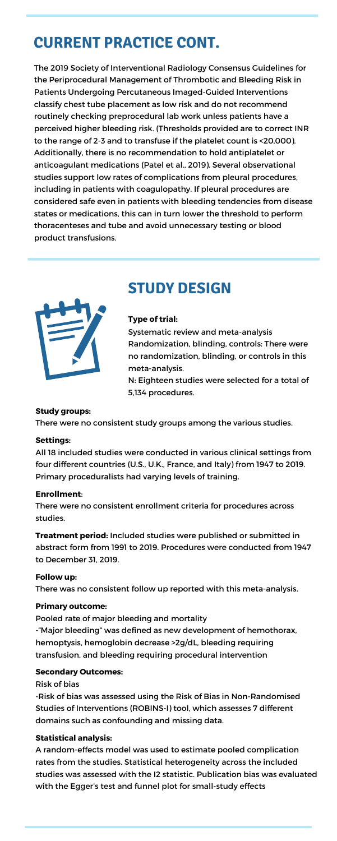# **CURRENT PRACTICE CONT.**

The 2019 Society of Interventional Radiology Consensus Guidelines for the Periprocedural Management of Thrombotic and Bleeding Risk in Patients Undergoing Percutaneous Imaged-Guided Interventions classify chest tube placement as low risk and do not recommend routinely checking preprocedural lab work unless patients have a perceived higher bleeding risk. (Thresholds provided are to correct INR to the range of 2-3 and to transfuse if the platelet count is <20,000). Additionally, there is no recommendation to hold antiplatelet or anticoagulant medications (Patel et al., 2019). Several observational studies support low rates of complications from pleural procedures, including in patients with coagulopathy. If pleural procedures are considered safe even in patients with bleeding tendencies from disease states or medications, this can in turn lower the threshold to perform thoracenteses and tube and avoid unnecessary testing or blood product transfusions.



# **STUDY DESIGN**

### **Type of trial:**

Systematic review and meta-analysis Randomization, blinding, controls: There were no randomization, blinding, or controls in this meta-analysis.

N: Eighteen studies were selected for a total of 5,134 procedures.

#### **Study groups:**

There were no consistent study groups among the various studies.

### **Settings:**

All 18 included studies were conducted in various clinical settings from four different countries (U.S., U.K., France, and Italy) from 1947 to 2019. Primary proceduralists had varying levels of training.

## **Enrollment**:

There were no consistent enrollment criteria for procedures across studies.

**Treatment period:** Included studies were published or submitted in abstract form from 1991 to 2019. Procedures were conducted from 1947 to December 31, 2019.

#### **Follow up:**

There was no consistent follow up reported with this meta-analysis.

#### **Primary outcome:**

Pooled rate of major bleeding and mortality -"Major bleeding" was defined as new development of hemothorax, hemoptysis, hemoglobin decrease >2g/dL, bleeding requiring transfusion, and bleeding requiring procedural intervention

### **Secondary Outcomes:**

Risk of bias

-Risk of bias was assessed using the Risk of Bias in Non-Randomised Studies of Interventions (ROBINS-I) tool, which assesses 7 different domains such as confounding and missing data.

### **Statistical analysis:**

A random-effects model was used to estimate pooled complication rates from the studies. Statistical heterogeneity across the included studies was assessed with the I2 statistic. Publication bias was evaluated with the Egger's test and funnel plot for small-study effects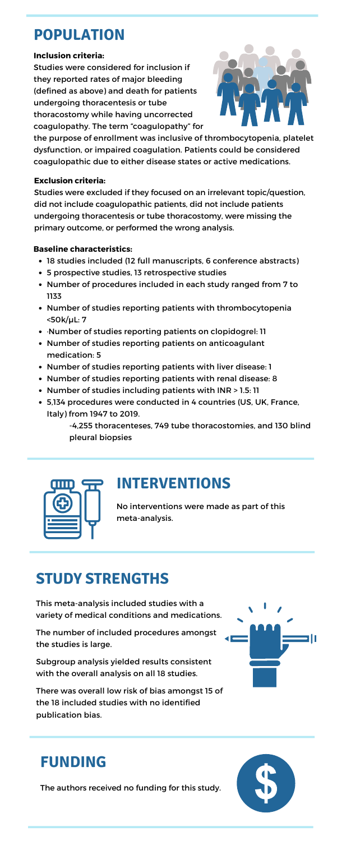No interventions were made as part of this meta-analysis.

### **Inclusion criteria:**

Studies were considered for inclusion if they reported rates of major bleeding (defined as above) and death for patients undergoing thoracentesis or tube thoracostomy while having uncorrected coagulopathy. The term "coagulopathy" for



the purpose of enrollment was inclusive of thrombocytopenia, platelet dysfunction, or impaired coagulation. Patients could be considered coagulopathic due to either disease states or active medications.

# **POPULATION**

- 18 studies included (12 full manuscripts, 6 conference abstracts)
- 5 prospective studies, 13 retrospective studies
- Number of procedures included in each study ranged from 7 to 1133
- Number of studies reporting patients with thrombocytopenia <50k/µL: 7
- ·Number of studies reporting patients on clopidogrel: 11
- Number of studies reporting patients on anticoagulant medication: 5
- Number of studies reporting patients with liver disease: 1
- Number of studies reporting patients with renal disease: 8
- Number of studies including patients with INR > 1.5: 11
- 5,134 procedures were conducted in 4 countries (US, UK, France, Italy) from 1947 to 2019.

### **Baseline characteristics:**

-4,255 thoracenteses, 749 tube thoracostomies, and 130 blind pleural biopsies



### **Exclusion criteria:**

Studies were excluded if they focused on an irrelevant topic/question, did not include coagulopathic patients, did not include patients undergoing thoracentesis or tube thoracostomy, were missing the primary outcome, or performed the wrong analysis.

## **INTERVENTIONS**

# **STUDY STRENGTHS**

This meta-analysis included studies with a variety of medical conditions and medications.

The number of included procedures amongst the studies is large.

Subgroup analysis yielded results consistent with the overall analysis on all 18 studies.

There was overall low risk of bias amongst 15 of the 18 included studies with no identified publication bias.



## **FUNDING**

The authors received no funding for this study.

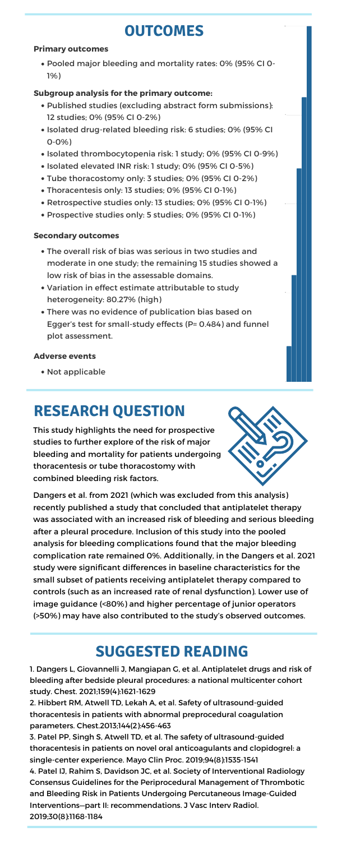# **OUTCOMES**

Pooled major bleeding and mortality rates: 0% (95% CI 0- 1%)

- Published studies (excluding abstract form submissions): 12 studies;0% (95% CI 0-2%)
- Isolated drug-related bleeding risk: 6 studies; 0% (95% CI 0-0%)
- Isolated thrombocytopenia risk: 1 study; 0% (95% CI 0-9%)
- Isolated elevated INR risk: 1 study; 0% (95% CI 0-5%)
- Tube thoracostomy only: 3 studies; 0% (95% CI 0-2%)
- Thoracentesis only: 13 studies; 0% (95% CI 0-1%)
- Retrospective studies only: 13 studies; 0% (95% CI 0-1%)
- Prospective studies only: 5 studies; 0% (95% CI 0-1%)

- The overall risk of bias was serious in two studies and moderate in one study; the remaining 15 studies showed a low risk of bias in the assessable domains.
- Variation in effect estimate attributable to study heterogeneity: 80.27% (high)
- There was no evidence of publication bias based on Egger's test for small-study effects (P= 0.484) and funnel plot assessment.

#### **Primary outcomes**

### **Subgroup analysis for the primary outcome:**

### **Secondary outcomes**

#### **Adverse events**

• Not applicable

100

25

0

This study highlights the need for prospective studies to further explore of the risk of major bleeding and mortality for patients undergoing thoracentesis or tube thoracostomy with combined bleeding risk factors.



Dangers et al. from 2021 (which was excluded from this analysis)

recently published a study that concluded that antiplatelet therapy was associated with an increased risk of bleeding and serious bleeding after a pleural procedure. Inclusion of this study into the pooled analysis for bleeding complications found that the major bleeding complication rate remained 0%. Additionally, in the Dangers et al. 2021 study were significant differences in baseline characteristics for the small subset of patients receiving antiplatelet therapy compared to controls (such as an increased rate of renal dysfunction). Lower use of image guidance (<80%) and higher percentage of junior operators (>50%) may have also contributed to the study's observed outcomes.

# **RESEARCH QUESTION**

# **SUGGESTED READING**

1. Dangers L, Giovannelli J, Mangiapan G, et al. Antiplatelet drugs and risk of bleeding after bedside pleural procedures: a national multicenter cohort study. Chest. 2021;159(4):1621-1629

2. Hibbert RM, Atwell TD, Lekah A, et al. Safety of ultrasound-guided thoracentesis in patients with abnormal preprocedural coagulation parameters. Chest.2013;144(2):456-463

3. Patel PP, Singh S, Atwell TD, et al. The safety of ultrasound-guided thoracentesis in patients on novel oral anticoagulants and clopidogrel: a single-center experience. Mayo Clin Proc. 2019;94(8):1535-1541

4. Patel IJ, Rahim S, Davidson JC, et al. Society of Interventional Radiology Consensus Guidelines for the Periprocedural Management of Thrombotic and Bleeding Risk in Patients Undergoing Percutaneous Image-Guided Interventions—part II: recommendations. J Vasc Interv Radiol. 2019;30(8):1168-1184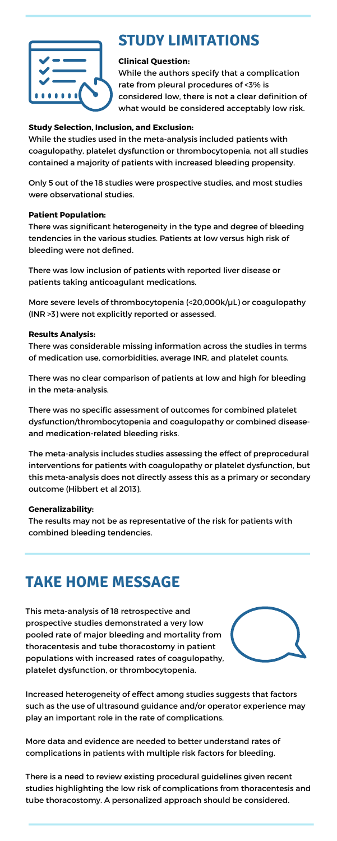

# **STUDY LIMITATIONS**

## **Clinical Question:**

While the authors specify that a complication rate from pleural procedures of <3% is considered low, there is not a clear definition of what would be considered acceptably low risk.

## **Study Selection, Inclusion, and Exclusion:**

While the studies used in the meta-analysis included patients with coagulopathy, platelet dysfunction or thrombocytopenia, not all studies contained a majority of patients with increased bleeding propensity.

More severe levels of thrombocytopenia (<20,000k/µL) or coagulopathy (INR >3) were not explicitly reported or assessed.

Only 5 out of the 18 studies were prospective studies, and most studies were observational studies.

### **Patient Population:**

There was significant heterogeneity in the type and degree of bleeding tendencies in the various studies. Patients at low versus high risk of bleeding were not defined.

There was low inclusion of patients with reported liver disease or patients taking anticoagulant medications.

### **Results Analysis:**

There was considerable missing information across the studies in terms of medication use, comorbidities, average INR, and platelet counts.

There was no clear comparison of patients at low and high for bleeding in the meta-analysis.

There was no specific assessment of outcomes for combined platelet dysfunction/thrombocytopenia and coagulopathy or combined diseaseand medication-related bleeding risks.

The meta-analysis includes studies assessing the effect of preprocedural interventions for patients with coagulopathy or platelet dysfunction, but this meta-analysis does not directly assess this as a primary or secondary outcome (Hibbert et al 2013).

#### **Generalizability:**

The results may not be as representative of the risk for patients with combined bleeding tendencies.

## **TAKE HOME MESSAGE**

This meta-analysis of 18 retrospective and prospective studies demonstrated a very low pooled rate of major bleeding and mortality from thoracentesis and tube thoracostomy in patient populations with increased rates of coagulopathy, platelet dysfunction, or thrombocytopenia.



Increased heterogeneity of effect among studies suggests that factors such as the use of ultrasound guidance and/or operator experience may play an important role in the rate of complications.

More data and evidence are needed to better understand rates of complications in patients with multiple risk factors for bleeding.

There is a need to review existing procedural guidelines given recent studies highlighting the low risk of complications from thoracentesis and tube thoracostomy. A personalized approach should be considered.